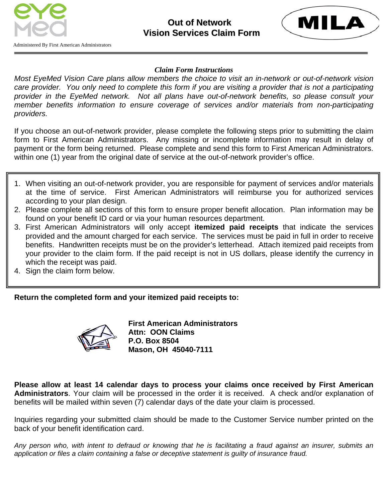



Administered By First American Administrators

## *Claim Form Instructions*

*Most EyeMed Vision Care plans allow members the choice to visit an in-network or out-of-network vision*  care provider. You only need to complete this form if you are visiting a provider that is not a participating *provider in the EyeMed network. Not all plans have out-of-network benefits, so please consult your member benefits information to ensure coverage of services and/or materials from non-participating providers.* 

If you choose an out-of-network provider, please complete the following steps prior to submitting the claim form to First American Administrators. Any missing or incomplete information may result in delay of payment or the form being returned. Please complete and send this form to First American Administrators. within one (1) year from the original date of service at the out-of-network provider's office.

- 1. When visiting an out-of-network provider, you are responsible for payment of services and/or materials at the time of service. First American Administrators will reimburse you for authorized services according to your plan design.
- 2. Please complete all sections of this form to ensure proper benefit allocation. Plan information may be found on your benefit ID card or via your human resources department.
- 3. First American Administrators will only accept **itemized paid receipts** that indicate the services provided and the amount charged for each service. The services must be paid in full in order to receive benefits. Handwritten receipts must be on the provider's letterhead. Attach itemized paid receipts from your provider to the claim form. If the paid receipt is not in US dollars, please identify the currency in which the receipt was paid.
- 4. Sign the claim form below.

**Return the completed form and your itemized paid receipts to:** 



**First American Administrators Attn: OON Claims P.O. Box 8504 Mason, OH 45040-7111** 

**Please allow at least 14 calendar days to process your claims once received by First American Administrators**. Your claim will be processed in the order it is received. A check and/or explanation of benefits will be mailed within seven (7) calendar days of the date your claim is processed.

Inquiries regarding your submitted claim should be made to the Customer Service number printed on the back of your benefit identification card.

*Any person who, with intent to defraud or knowing that he is facilitating a fraud against an insurer, submits an application or files a claim containing a false or deceptive statement is guilty of insurance fraud.*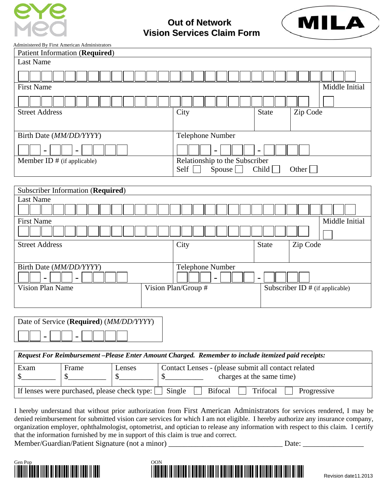

 **Out of Network Vision Services Claim Form**



Administered By First American Administrators

| Administered By First American Administrators                                                       |                                                         |
|-----------------------------------------------------------------------------------------------------|---------------------------------------------------------|
| <b>Patient Information (Required)</b>                                                               |                                                         |
| <b>Last Name</b>                                                                                    |                                                         |
|                                                                                                     |                                                         |
| <b>First Name</b>                                                                                   | Middle Initial                                          |
|                                                                                                     |                                                         |
| <b>Street Address</b>                                                                               | City<br><b>State</b><br>Zip Code                        |
|                                                                                                     |                                                         |
| Birth Date (MM/DD/YYYY)                                                                             | Telephone Number                                        |
|                                                                                                     |                                                         |
| Member ID $#$ (if applicable)                                                                       | Relationship to the Subscriber                          |
|                                                                                                     | Self<br>Spouse [<br>Child<br>Other $\sqrt{\phantom{a}}$ |
|                                                                                                     |                                                         |
| Subscriber Information (Required)                                                                   |                                                         |
| <b>Last Name</b>                                                                                    |                                                         |
|                                                                                                     |                                                         |
| Middle Initial<br><b>First Name</b>                                                                 |                                                         |
|                                                                                                     |                                                         |
| <b>Street Address</b>                                                                               | City<br>Zip Code<br><b>State</b>                        |
|                                                                                                     |                                                         |
| Birth Date (MM/DD/YYYY)                                                                             | Telephone Number                                        |
|                                                                                                     | $\blacksquare$                                          |
| <b>Vision Plan Name</b>                                                                             | Vision Plan/Group #<br>Subscriber ID # (if applicable)  |
|                                                                                                     |                                                         |
|                                                                                                     |                                                         |
| Date of Service (Required) (MM/DD/YYYY)                                                             |                                                         |
|                                                                                                     |                                                         |
|                                                                                                     |                                                         |
| Request For Reimbursement -Please Enter Amount Charged. Remember to include itemized paid receipts: |                                                         |
| Exam<br>Frame<br>Lenses                                                                             | Contact Lenses - (please submit all contact related     |
| \$<br>\$<br>$\boldsymbol{\mathsf{S}}$<br>$\mathcal{S}$                                              | charges at the same time)                               |
| Single<br><b>Bifocal</b><br>If lenses were purchased, please check type:<br>Trifocal<br>Progressive |                                                         |

I hereby understand that without prior authorization from First American Administrators for services rendered, I may be denied reimbursement for submitted vision care services for which I am not eligible. I hereby authorize any insurance company, organization employer, ophthalmologist, optometrist, and optician to release any information with respect to this claim. I certify that the information furnished by me in support of this claim is true and correct. Member/Guardian/Patient Signature (not a minor) \_\_\_\_\_\_\_\_\_\_\_\_\_\_\_\_\_\_\_\_\_\_\_\_\_\_\_\_\_\_\_\_\_ Date: \_\_\_\_\_\_\_\_\_\_\_\_\_\_\_\_\_\_\_\_\_\_



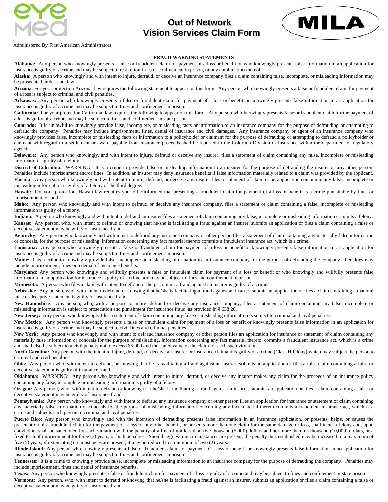

## **Out of Network Vision Services Claim Form**



Administered By First American Administrators

## **FRAUD WARNING STATEMENTS**

**Alabama:** Any person who knowingly presents a false or fraudulent claim for payment of a loss or benefit or who knowingly presents false information in an application for insurance is guilty of a crime and may be subject to restitution fines or confinement in prison, or any combination thereof.

**Alaska:** A person who knowingly and with intent to injure, defraud, or deceive an insurance company files a claim containing false, incomplete, or misleading information may be prosecuted under state law.

**Arizona**: For your protection Arizona, law requires the following statement to appear on this form. Any person who knowingly presents a false or fraudulent claim for payment of a loss is subject to criminal and civil penalties**.** 

**Arkansas:** Any person who knowingly presents a false or fraudulent claim for payment of a loss or benefit or knowingly presents false information in an application for insurance is guilty of a crime and may be subject to fines and confinement in prison.

**California:** For your protection California, law requires the following to appear on this form: Any person who knowingly presents false or fraudulent claim for the payment of a loss is guilty of a crime and may be subject to fines and confinement in state prison.

**Colorado:** It is unlawful to knowingly provide false, incomplete, or misleading facts or information to an insurance company for the purpose of defrauding or attempting to defraud the company. Penalties may include imprisonment, fines, denial of insurance and civil damages. Any insurance company or agent of an insurance company who knowingly provides false, incomplete or misleading facts or information to a policyholder or claimant for the purpose of defrauding or attempting to defraud a policyholder or claimant with regard to a settlement or award payable from insurance proceeds shall be reported to the Colorado Division of Insurance within the department of regulatory agencies.

**Delaware:** Any person who knowingly, and with intent to injure, defraud or deceive any insurer, files a statement of claim containing any false, incomplete or misleading information is guilty of a felony.

District of Columbia: WARNING: It is a crime to provide false or misleading information to an insurer for the purpose of defrauding the insurer or any other person. Penalties include imprisonment and/or fines. In addition, an insurer may deny insurance benefits if false information materially related to a claim was provided by the applicant. **Florida:** Any person who knowingly and with intent to injure, defraud, or deceive any insurer files a statement of claim or an application containing any false, incomplete or misleading information is guilty of a felony of the third degree.

Hawaii: For your protection, Hawaii law requires you to be informed that presenting a fraudulent claim for payment of a loss or benefit is a crime punishable by fines or imprisonment, or both.

**Idaho:** Any person who knowingly and with intent to defraud or deceive any insurance company, files a statement or claim containing a false, incomplete or misleading information is guilty of a felony.

**Indiana:** A person who knowingly and with intent to defraud an insurer files a statement of claim containing any false, incomplete or misleading information commits a felony. Kansas: Any person, who, with intent to defraud or knowing that he/she is facilitating a fraud against an insurer, submits an application or files a claim containing a false or deceptive statement may be guilty of insurance fraud.

**Kentucky:** Any person who knowingly and with intent to defraud any insurance company or other person files a statement of claim containing any materially false information or conceals, for the purpose of misleading, information concerning any fact material thereto commits a fraudulent insurance act, which is a crime.

Louisiana: Any person who knowingly presents a false or fraudulent claim for payment of a loss or benefit or knowingly presents false information in an application for insurance is guilty of a crime and may be subject to fines and confinement in prison.

**Maine:** It is a crime to knowingly provide false, incomplete or misleading information to an insurance company for the purpose of defrauding the company. Penalties may include imprisonment, fines or a denial of insurance benefits.

**Maryland:** Any person who knowingly and willfully presents a false or fraudulent claim for payment of a loss or benefit or who knowingly and willfully presents false information in an application for insurance is guilty of a crime and may be subject to fines and confinement in prison.

**Minnesota:** A person who files a claim with intent to defraud or helps commit a fraud against an insurer is guilty of a crime.

Nebraska: Any person, who, with intent to defraud or knowing that he/she is facilitating a fraud against an insurer, submits an application or files a claim containing a material false or deceptive statement is guilty of insurance fraud.

New Hampshire: Any person, who, with a purpose to injure, defraud or deceive any insurance company, files a statement of claim containing any false, incomplete or misleading information is subject to prosecution and punishment for insurance fraud, as provided in § 638.20.

**New Jersey:** Any person who knowingly files a statement of claim containing any false or misleading information is subject to criminal and civil penalties.

New Mexico: Any person who knowingly presents a false or fraudulent claim for payment of a loss or benefit or knowingly presents false information in an application for insurance is guilty of a crime and may be subject to civil fines and criminal penalties.

New York: Any person who knowingly and with intent to defraud insurance company or other person files an application for insurance or statement of claim containing any materially false information or conceals for the purpose of misleading, information concerning any fact material thereto, commits a fraudulent insurance act, which is a crime and shall also be subject to a civil penalty not to exceed \$5,000 and the stated value of the claim for each such violation.

North Carolina: Any person with the intent to injure, defraud, or deceive an insurer or insurance claimant is guilty of a crime (Class H felony) which may subject the person to criminal and civil penalties.

**Ohio:** Any person who, with intent to defraud, or knowing that he is facilitating a fraud against an insurer, submits an application or files a false claim containing a false or deceptive statement is guilty of insurance fraud.

**Oklahoma:** WARNING: Any person who knowingly and with intent to injure, defraud, or deceive any insurer makes any claim for the proceeds of an insurance policy containing any false, incomplete or misleading information is guilty of a felony.

**Oregon:** Any person, who, with intent to defraud or knowing that he/she is facilitating a fraud against an insurer, submits an application or files a claim containing a false or deceptive statement may be guilty of insurance fraud.

Pennsylvania: Any person who knowingly and with intent to defraud any insurance company or other person files an application for insurance or statement of claim containing any materially false information or conceals for the purpose of misleading, information concerning any fact material thereto commits a fraudulent insurance act, which is a crime and subjects such person to criminal and civil penalties.

Puerto Rico: Any person who knowingly and with the intention of defrauding presents false information in an insurance application, or presents, helps, or causes the presentation of a fraudulent claim for the payment of a loss or any other benefit, or presents more than one claim for the same damage or loss, shall incur a felony and, upon conviction, shall be sanctioned for each violation with the penalty of a fine of not less than five thousand (5,000) dollars and not more than ten thousand (10,000) dollars, or a fixed term of imprisonment for three (3) years, or both penalties. Should aggravating circumstances are present, the penalty thus established may be increased to a maximum of five (5) years, if extenuating circumstances are present, it may be reduced to a minimum of two (2) years.

**Rhode Island:** Any person who knowingly presents a false or fraudulent claim for payment of a loss or benefit or knowingly presents false information in an application for insurance is guilty of a crime and may be subject to fines and confinement in prison

**Tennessee:** It is a crime to knowingly provide false, incomplete or misleading information to an insurance company for the purpose of defrauding the company. Penalties may include imprisonment, fines and denial of insurance benefits.

**Texas:** Any person who knowingly presents a false or fraudulent claim for payment of a loss is guilty of a crime and may be subject to fines and confinement in state prison. **Vermont:** Any person, who, with intent to defraud or knowing that he/she is facilitating a fraud against an insurer, submits an application or files a claim containing a false or deceptive statement may be guilty of insurance fraud.